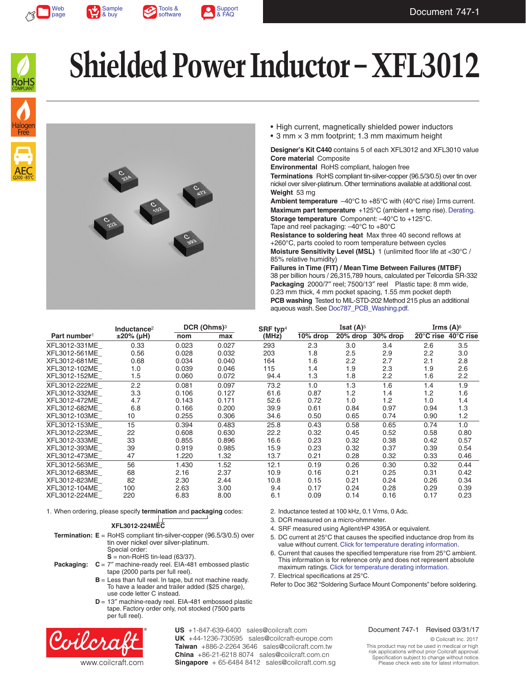







# **Shielded Power Inductor – XFL3012**



- High current, magnetically shielded power inductors
- 3 mm × 3 mm footprint; 1.3 mm maximum height

**Designer's Kit C440** contains 5 of each XFL3012 and XFL3010 value **Core material** Composite

**Environmental** RoHS compliant, halogen free **Terminations** RoHS compliant tin-silver-copper (96.5/3/0.5) over tin over

nickel over silver-platinum. Other terminations available at additional cost. **Weight** 53 mg

**Ambient temperature**  $-40^{\circ}$ C to  $+85^{\circ}$ C with (40°C rise) Irms current. **Maximum part temperature** +125°C (ambient + temp rise). [Derating.](http://www.coilcraft.com/apps/compare/compare_power.cfm) **Storage temperature** Component: –40°C to +125°C. Tape and reel packaging: –40°C to +80°C

**Resistance to soldering heat** Max three 40 second reflows at +260°C, parts cooled to room temperature between cycles

2. Inductance tested at 100 kHz, 0.1 Vrms, 0 Adc. 3. DCR measured on a micro-ohmmeter.

7. Electrical specifications at 25°C.

4. SRF measured using Agilent/HP 4395A or equivalent.

5. DC current at 25°C that causes the specified inductance drop from its value without current. [Click for temperature derating information.](http://www.coilcraft.com/apps/compare/compare_power.cfm) 6. Current that causes the specified temperature rise from 25°C ambient. This information is for reference only and does not represent absolute maximum ratings. [Click for temperature derating information.](http://www.coilcraft.com/apps/compare/compare_power.cfm)

Refer to Doc 362 "Soldering Surface Mount Components" before soldering.

**Moisture Sensitivity Level (MSL)** 1 (unlimited floor life at <30°C / 85% relative humidity)

**Failures in Time (FIT) / Mean Time Between Failures (MTBF)** 38 per billion hours / 26,315,789 hours, calculated per Telcordia SR-332 **Packaging** 2000/7″ reel; 7500/13″ reel Plastic tape: 8 mm wide, 0.23 mm thick, 4 mm pocket spacing, 1.55 mm pocket depth **PCB washing** Tested to MIL-STD-202 Method 215 plus an additional aqueous wash. See [Doc787\\_PCB\\_Washing.pdf](http://www.coilcraft.com/pdfs/Doc787_PCB_Washing.pdf).

|                          | $DCR$ (Ohms) $3$<br>Inductance <sup>2</sup> |       | SRF typ <sup>4</sup> | Isat $(A)^5$ |          |          | Irms $(A)^6$ |      |                     |
|--------------------------|---------------------------------------------|-------|----------------------|--------------|----------|----------|--------------|------|---------------------|
| Part number <sup>1</sup> | $±20\%$ (µH)                                | nom   | max                  | (MHz)        | 10% drop | 20% drop | 30% drop     |      | 20°C rise 40°C rise |
| XFL3012-331ME            | 0.33                                        | 0.023 | 0.027                | 293          | 2.3      | 3.0      | 3.4          | 2.6  | 3.5                 |
| XFL3012-561ME            | 0.56                                        | 0.028 | 0.032                | 203          | 1.8      | 2.5      | 2.9          | 2.2  | 3.0                 |
| XFL3012-681ME            | 0.68                                        | 0.034 | 0.040                | 164          | 1.6      | 2.2      | 2.7          | 2.1  | 2.8                 |
| XFL3012-102ME            | 1.0                                         | 0.039 | 0.046                | 115          | 1.4      | 1.9      | 2.3          | 1.9  | 2.6                 |
| XFL3012-152ME            | 1.5                                         | 0.060 | 0.072                | 94.4         | 1.3      | 1.8      | 2.2          | 1.6  | 2.2                 |
| XFL3012-222ME            | 2.2                                         | 0.081 | 0.097                | 73.2         | 1.0      | 1.3      | 1.6          | 1.4  | 1.9                 |
| XFL3012-332ME            | 3.3                                         | 0.106 | 0.127                | 61.6         | 0.87     | 1.2      | 1.4          | 1.2  | 1.6                 |
| XFL3012-472ME            | 4.7                                         | 0.143 | 0.171                | 52.6         | 0.72     | 1.0      | 1.2          | 1.0  | 1.4                 |
| XFL3012-682ME            | 6.8                                         | 0.166 | 0.200                | 39.9         | 0.61     | 0.84     | 0.97         | 0.94 | 1.3                 |
| XFL3012-103ME            | 10                                          | 0.255 | 0.306                | 34.6         | 0.50     | 0.65     | 0.74         | 0.90 | 1.2                 |
| XFL3012-153ME            | 15                                          | 0.394 | 0.483                | 25.8         | 0.43     | 0.58     | 0.65         | 0.74 | 1.0                 |
| XFL3012-223ME            | 22                                          | 0.608 | 0.630                | 22.2         | 0.32     | 0.45     | 0.52         | 0.58 | 0.80                |
| XFL3012-333ME            | 33                                          | 0.855 | 0.896                | 16.6         | 0.23     | 0.32     | 0.38         | 0.42 | 0.57                |
| XFL3012-393ME            | 39                                          | 0.919 | 0.985                | 15.9         | 0.23     | 0.32     | 0.37         | 0.39 | 0.54                |
| XFL3012-473ME            | 47                                          | 1.220 | 1.32                 | 13.7         | 0.21     | 0.28     | 0.32         | 0.33 | 0.46                |
| XFL3012-563ME            | 56                                          | 1.430 | 1.52                 | 12.1         | 0.19     | 0.26     | 0.30         | 0.32 | 0.44                |
| XFL3012-683ME            | 68                                          | 2.16  | 2.37                 | 10.9         | 0.16     | 0.21     | 0.25         | 0.31 | 0.42                |
| XFL3012-823ME            | 82                                          | 2.30  | 2.44                 | 10.8         | 0.15     | 0.21     | 0.24         | 0.26 | 0.34                |
| XFL3012-104ME            | 100                                         | 2.63  | 3.00                 | 9.4          | 0.17     | 0.24     | 0.28         | 0.29 | 0.39                |
| XFL3012-224ME            | 220                                         | 6.83  | 8.00                 | 6.1          | 0.09     | 0.14     | 0.16         | 0.17 | 0.23                |

1. When ordering, please specify **termination** and **packaging** codes:

### **XFL3012-224MEC**

- **Termination: E** = RoHS compliant tin-silver-copper (96.5/3/0.5) over tin over nickel over silver-platinum. Special order: **S** = non-RoHS tin-lead (63/37).
- **Packaging: C** = 7″ machine-ready reel. EIA-481 embossed plastic tape (2000 parts per full reel).
	- **B** = Less than full reel. In tape, but not machine ready. To have a leader and trailer added (\$25 charge), use code letter C instead.
	- **D** = 13″ machine-ready reel. EIA-481 embossed plastic tape. Factory order only, not stocked (7500 parts per full reel).



**US** +1-847-639-6400 sales@coilcraft.com **UK** +44-1236-730595 sales@coilcraft-europe.com **Taiwan** +886-2-2264 3646 sales@coilcraft.com.tw **China** +86-21-6218 8074 sales@coilcraft.com.cn **Singapore** + 65-6484 8412 sales@coilcraft.com.sg

© Coilcraft Inc. 2017 This product may not be used in medical or high risk applications without prior Coilcraft approval. Specification subject to change without notice. Please check web site for latest information.

Document 747-1 Revised 03/31/17

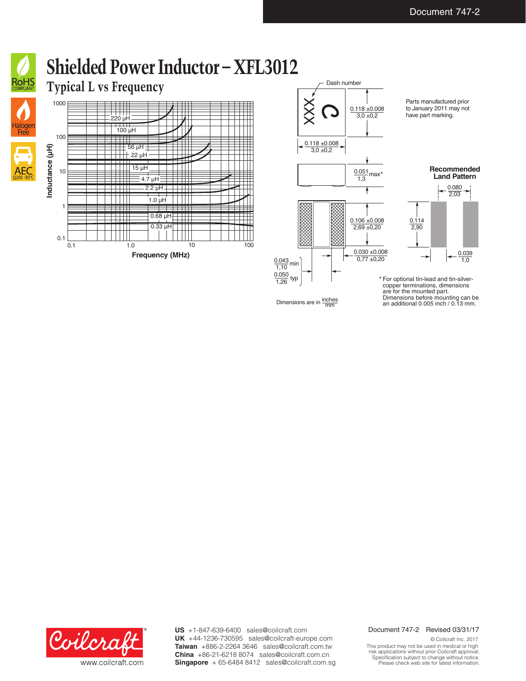

AE

# **Shielded Power Inductor – XFL3012**

## **Typical L vs Frequency**





Dimensions are in  $\frac{\text{inches}}{\text{mm}}$ 

Parts manufactured prior to January 2011 may not have part marking.



For optional tin-lead and tin-silver-\* copper terminations, dimensions are for the mounted part. Dimensions before mounting can be an additional 0.005 inch / 0.13 mm.



**US** +1-847-639-6400 sales@coilcraft.com **UK** +44-1236-730595 sales@coilcraft-europe.com **Taiwan** +886-2-2264 3646 sales@coilcraft.com.tw **China** +86-21-6218 8074 sales@coilcraft.com.cn **Singapore** + 65-6484 8412 sales@coilcraft.com.sg

#### Document 747-2 Revised 03/31/17

© Coilcraft Inc. 2017 This product may not be used in medical or high risk applications without prior Coilcraft approval. Specification subject to change without notice. Please check web site for latest information.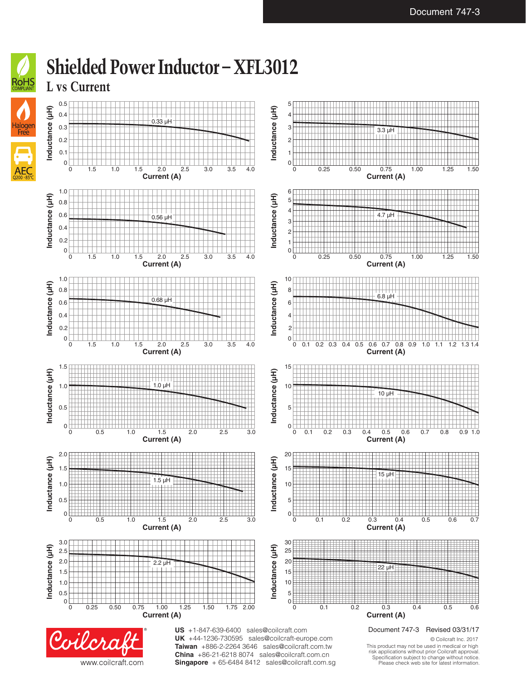

**China** +86-21-6218 8074 sales@coilcraft.com.cn **Singapore** + 65-6484 8412 sales@coilcraft.com.sg

www.coilcraft.com

This product may not be used in medical or high risk applications without prior Coilcraft approval. Specification subject to change without notice. Please check web site for latest information.